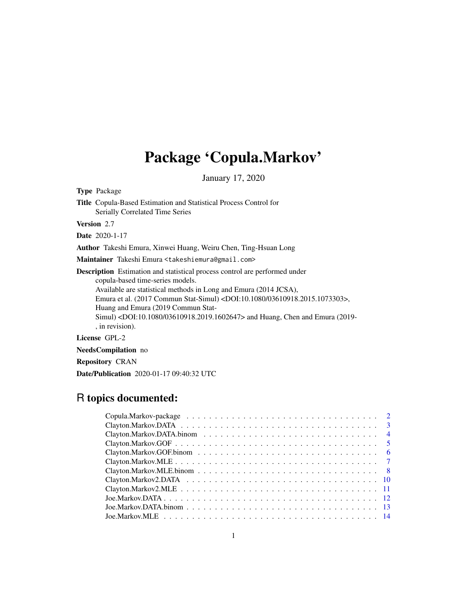# Package 'Copula.Markov'

January 17, 2020

Type Package

Title Copula-Based Estimation and Statistical Process Control for Serially Correlated Time Series

Version 2.7

Date 2020-1-17

Author Takeshi Emura, Xinwei Huang, Weiru Chen, Ting-Hsuan Long

Maintainer Takeshi Emura <takeshiemura@gmail.com>

Description Estimation and statistical process control are performed under copula-based time-series models. Available are statistical methods in Long and Emura (2014 JCSA), Emura et al. (2017 Commun Stat-Simul) <DOI:10.1080/03610918.2015.1073303>, Huang and Emura (2019 Commun Stat-Simul) <DOI:10.1080/03610918.2019.1602647> and Huang, Chen and Emura (2019- , in revision).

License GPL-2

NeedsCompilation no

Repository CRAN

Date/Publication 2020-01-17 09:40:32 UTC

# R topics documented: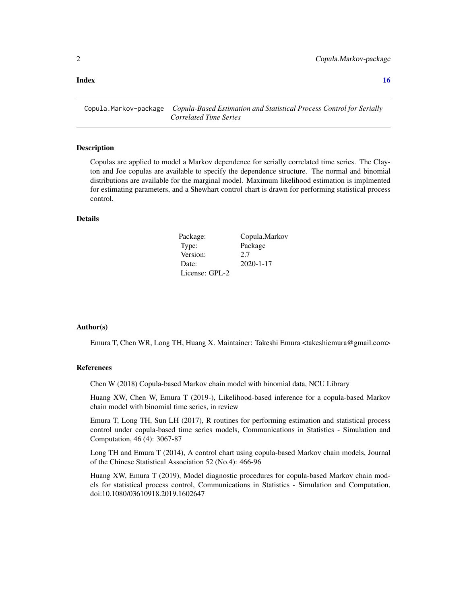#### <span id="page-1-0"></span>**Index** and the contract of the contract of the contract of the contract of the contract of the contract of the contract of the contract of the contract of the contract of the contract of the contract of the contract of th

Copula.Markov-package *Copula-Based Estimation and Statistical Process Control for Serially Correlated Time Series*

#### **Description**

Copulas are applied to model a Markov dependence for serially correlated time series. The Clayton and Joe copulas are available to specify the dependence structure. The normal and binomial distributions are available for the marginal model. Maximum likelihood estimation is implmented for estimating parameters, and a Shewhart control chart is drawn for performing statistical process control.

#### Details

| Package:       | Copula.Markov   |
|----------------|-----------------|
| Type:          | Package         |
| Version:       | 2.7             |
| Date:          | $2020 - 1 - 17$ |
| License: GPL-2 |                 |

#### Author(s)

Emura T, Chen WR, Long TH, Huang X. Maintainer: Takeshi Emura <takeshiemura@gmail.com>

#### References

Chen W (2018) Copula-based Markov chain model with binomial data, NCU Library

Huang XW, Chen W, Emura T (2019-), Likelihood-based inference for a copula-based Markov chain model with binomial time series, in review

Emura T, Long TH, Sun LH (2017), R routines for performing estimation and statistical process control under copula-based time series models, Communications in Statistics - Simulation and Computation, 46 (4): 3067-87

Long TH and Emura T (2014), A control chart using copula-based Markov chain models, Journal of the Chinese Statistical Association 52 (No.4): 466-96

Huang XW, Emura T (2019), Model diagnostic procedures for copula-based Markov chain models for statistical process control, Communications in Statistics - Simulation and Computation, doi:10.1080/03610918.2019.1602647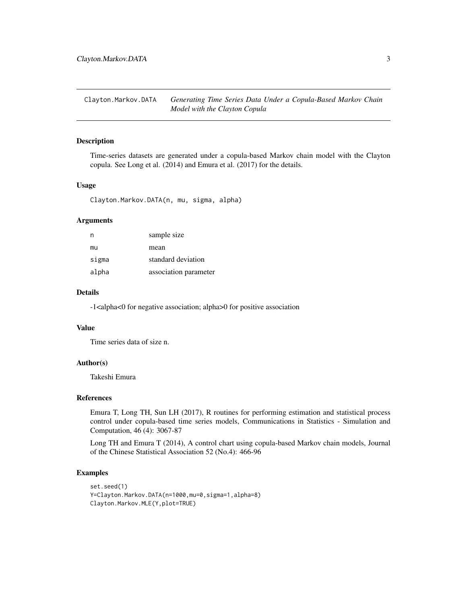<span id="page-2-0"></span>Clayton.Markov.DATA *Generating Time Series Data Under a Copula-Based Markov Chain Model with the Clayton Copula*

#### Description

Time-series datasets are generated under a copula-based Markov chain model with the Clayton copula. See Long et al. (2014) and Emura et al. (2017) for the details.

# Usage

Clayton.Markov.DATA(n, mu, sigma, alpha)

#### Arguments

| n     | sample size           |
|-------|-----------------------|
| mu    | mean                  |
| sigma | standard deviation    |
| alpha | association parameter |

#### Details

-1<alpha<0 for negative association; alpha>0 for positive association

#### Value

Time series data of size n.

#### Author(s)

Takeshi Emura

### References

Emura T, Long TH, Sun LH (2017), R routines for performing estimation and statistical process control under copula-based time series models, Communications in Statistics - Simulation and Computation, 46 (4): 3067-87

Long TH and Emura T (2014), A control chart using copula-based Markov chain models, Journal of the Chinese Statistical Association 52 (No.4): 466-96

#### Examples

```
set.seed(1)
Y=Clayton.Markov.DATA(n=1000,mu=0,sigma=1,alpha=8)
Clayton.Markov.MLE(Y,plot=TRUE)
```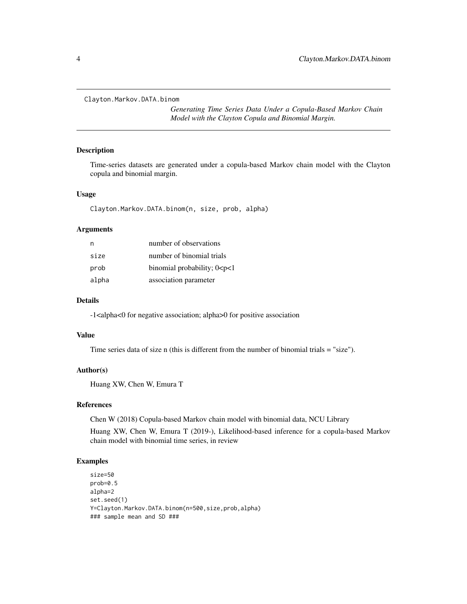<span id="page-3-0"></span>Clayton.Markov.DATA.binom

*Generating Time Series Data Under a Copula-Based Markov Chain Model with the Clayton Copula and Binomial Margin.*

#### Description

Time-series datasets are generated under a copula-based Markov chain model with the Clayton copula and binomial margin.

#### Usage

Clayton.Markov.DATA.binom(n, size, prob, alpha)

#### Arguments

| n     | number of observations            |
|-------|-----------------------------------|
| size  | number of binomial trials         |
| prob  | binomial probability; $0 < p < 1$ |
| alpha | association parameter             |

#### Details

-1<alpha<0 for negative association; alpha>0 for positive association

#### Value

Time series data of size n (this is different from the number of binomial trials = "size").

#### Author(s)

Huang XW, Chen W, Emura T

#### References

Chen W (2018) Copula-based Markov chain model with binomial data, NCU Library

Huang XW, Chen W, Emura T (2019-), Likelihood-based inference for a copula-based Markov chain model with binomial time series, in review

#### Examples

size=50 prob=0.5 alpha=2 set.seed(1) Y=Clayton.Markov.DATA.binom(n=500,size,prob,alpha) ### sample mean and SD ###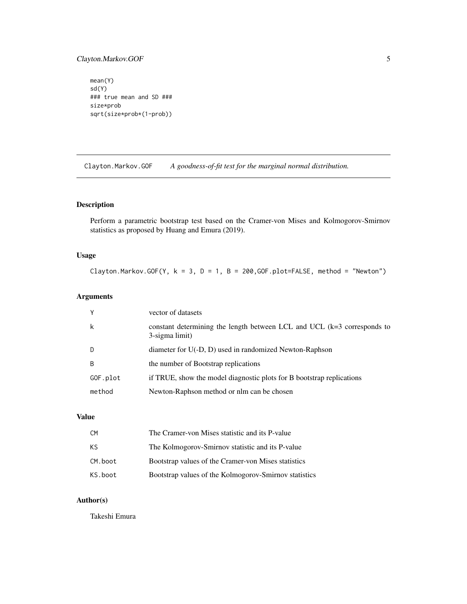# <span id="page-4-0"></span>Clayton.Markov.GOF 5

mean(Y) sd(Y) ### true mean and SD ### size\*prob sqrt(size\*prob\*(1-prob))

Clayton.Markov.GOF *A goodness-of-fit test for the marginal normal distribution.*

# Description

Perform a parametric bootstrap test based on the Cramer-von Mises and Kolmogorov-Smirnov statistics as proposed by Huang and Emura (2019).

# Usage

Clayton.Markov.GOF(Y,  $k = 3$ ,  $D = 1$ ,  $B = 200$ , GOF.plot=FALSE, method = "Newton")

# Arguments

| Υ        | vector of datasets                                                                        |
|----------|-------------------------------------------------------------------------------------------|
| k        | constant determining the length between LCL and UCL (k=3 corresponds to<br>3-sigma limit) |
| D        | diameter for U(-D, D) used in randomized Newton-Raphson                                   |
| B        | the number of Bootstrap replications                                                      |
| GOF.plot | if TRUE, show the model diagnostic plots for B bootstrap replications                     |
| method   | Newton-Raphson method or nlm can be chosen                                                |

### Value

| CM.     | The Cramer-von Mises statistic and its P-value        |
|---------|-------------------------------------------------------|
| KS.     | The Kolmogorov-Smirnov statistic and its P-value      |
| CM.boot | Bootstrap values of the Cramer-von Mises statistics   |
| KS.boot | Bootstrap values of the Kolmogorov-Smirnov statistics |

# Author(s)

Takeshi Emura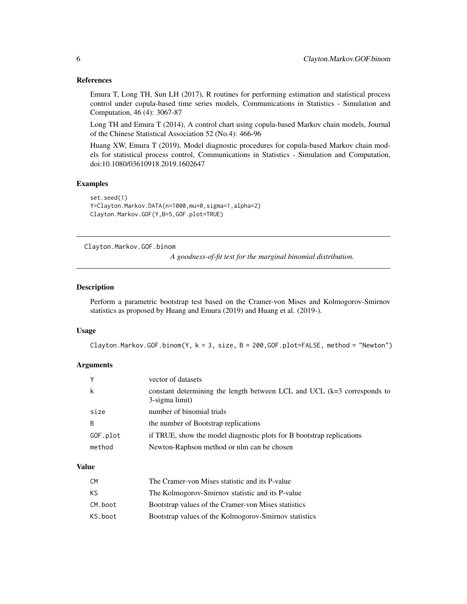#### References

Emura T, Long TH, Sun LH (2017), R routines for performing estimation and statistical process control under copula-based time series models, Communications in Statistics - Simulation and Computation, 46 (4): 3067-87

Long TH and Emura T (2014), A control chart using copula-based Markov chain models, Journal of the Chinese Statistical Association 52 (No.4): 466-96

Huang XW, Emura T (2019), Model diagnostic procedures for copula-based Markov chain models for statistical process control, Communications in Statistics - Simulation and Computation, doi:10.1080/03610918.2019.1602647

# Examples

```
set.seed(1)
Y=Clayton.Markov.DATA(n=1000,mu=0,sigma=1,alpha=2)
Clayton.Markov.GOF(Y,B=5,GOF.plot=TRUE)
```
Clayton.Markov.GOF.binom

*A goodness-of-fit test for the marginal binomial distribution.*

#### Description

Perform a parametric bootstrap test based on the Cramer-von Mises and Kolmogorov-Smirnov statistics as proposed by Huang and Emura (2019) and Huang et al. (2019-).

# Usage

```
Clayton.Markov.GOF.binom(Y, k = 3, size, B = 200, GOF.plot=FALSE, method = "Newton")
```
#### Arguments

|          | vector of datasets                                                                        |
|----------|-------------------------------------------------------------------------------------------|
| ĸ        | constant determining the length between LCL and UCL (k=3 corresponds to<br>3-sigma limit) |
| size     | number of binomial trials                                                                 |
| B        | the number of Bootstrap replications                                                      |
| GOF.plot | if TRUE, show the model diagnostic plots for B bootstrap replications                     |
| method   | Newton-Raphson method or nlm can be chosen                                                |
|          |                                                                                           |

#### Value

| C <sub>M</sub> | The Cramer-von Mises statistic and its P-value        |
|----------------|-------------------------------------------------------|
| ΚS             | The Kolmogorov-Smirnov statistic and its P-value      |
| CM.boot        | Bootstrap values of the Cramer-von Mises statistics   |
| KS.boot        | Bootstrap values of the Kolmogorov-Smirnov statistics |

<span id="page-5-0"></span>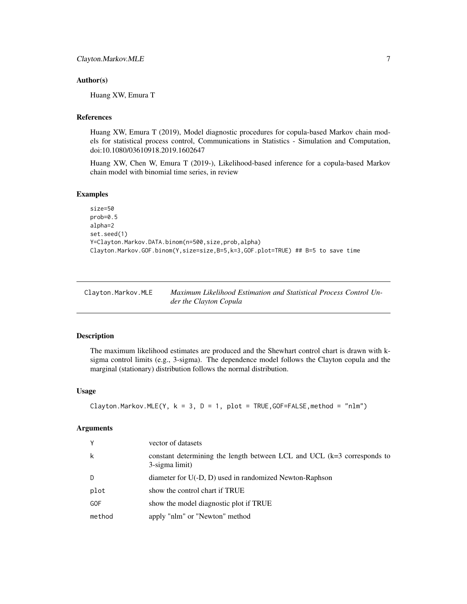#### <span id="page-6-0"></span>Author(s)

Huang XW, Emura T

# References

Huang XW, Emura T (2019), Model diagnostic procedures for copula-based Markov chain models for statistical process control, Communications in Statistics - Simulation and Computation, doi:10.1080/03610918.2019.1602647

Huang XW, Chen W, Emura T (2019-), Likelihood-based inference for a copula-based Markov chain model with binomial time series, in review

#### Examples

```
size=50
prob=0.5
alpha=2
set.seed(1)
Y=Clayton.Markov.DATA.binom(n=500,size,prob,alpha)
Clayton.Markov.GOF.binom(Y,size=size,B=5,k=3,GOF.plot=TRUE) ## B=5 to save time
```

| Clayton.Markov.MLE | Maximum Likelihood Estimation and Statistical Process Control Un- |
|--------------------|-------------------------------------------------------------------|
|                    | der the Clayton Copula                                            |

#### Description

The maximum likelihood estimates are produced and the Shewhart control chart is drawn with ksigma control limits (e.g., 3-sigma). The dependence model follows the Clayton copula and the marginal (stationary) distribution follows the normal distribution.

# Usage

Clayton.Markov.MLE(Y,  $k = 3$ ,  $D = 1$ ,  $plot = TRUE$ , GOF=FALSE, method = "nlm")

#### Arguments

| Y          | vector of datasets                                                                          |
|------------|---------------------------------------------------------------------------------------------|
| k          | constant determining the length between LCL and UCL $(k=3$ corresponds to<br>3-sigma limit) |
| D          | diameter for U(-D, D) used in randomized Newton-Raphson                                     |
| plot       | show the control chart if TRUE                                                              |
| <b>GOF</b> | show the model diagnostic plot if TRUE                                                      |
| method     | apply "nlm" or "Newton" method                                                              |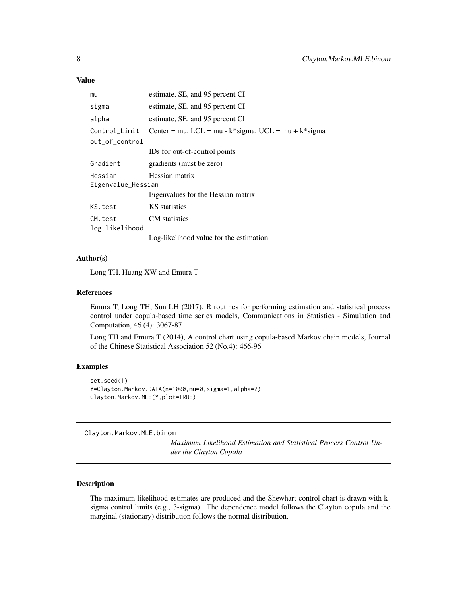# <span id="page-7-0"></span>Value

| mu                 | estimate, SE, and 95 percent CI                           |
|--------------------|-----------------------------------------------------------|
| sigma              | estimate, SE, and 95 percent CI                           |
| alpha              | estimate, SE, and 95 percent CI                           |
| Control_Limit      | Center = mu, LCL = mu - $k$ *sigma, UCL = mu + $k$ *sigma |
| out_of_control     |                                                           |
|                    | IDs for out-of-control points                             |
| Gradient           | gradients (must be zero)                                  |
| Hessian            | Hessian matrix                                            |
| Eigenvalue_Hessian |                                                           |
|                    | Eigenvalues for the Hessian matrix                        |
| KS.test            | KS statistics                                             |
| CM.test            | CM statistics                                             |
| log.likelihood     |                                                           |
|                    | Log-likelihood value for the estimation                   |

#### Author(s)

Long TH, Huang XW and Emura T

#### References

Emura T, Long TH, Sun LH (2017), R routines for performing estimation and statistical process control under copula-based time series models, Communications in Statistics - Simulation and Computation, 46 (4): 3067-87

Long TH and Emura T (2014), A control chart using copula-based Markov chain models, Journal of the Chinese Statistical Association 52 (No.4): 466-96

#### Examples

```
set.seed(1)
Y=Clayton.Markov.DATA(n=1000,mu=0,sigma=1,alpha=2)
Clayton.Markov.MLE(Y,plot=TRUE)
```
Clayton.Markov.MLE.binom

*Maximum Likelihood Estimation and Statistical Process Control Under the Clayton Copula*

## Description

The maximum likelihood estimates are produced and the Shewhart control chart is drawn with ksigma control limits (e.g., 3-sigma). The dependence model follows the Clayton copula and the marginal (stationary) distribution follows the normal distribution.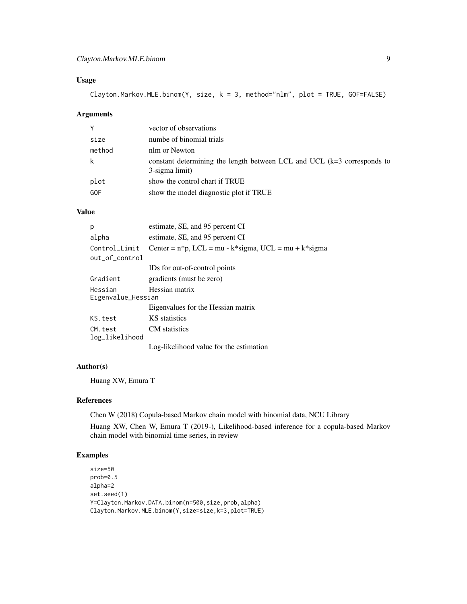# Clayton.Markov.MLE.binom 9

# Usage

Clayton.Markov.MLE.binom(Y, size, k = 3, method="nlm", plot = TRUE, GOF=FALSE)

# Arguments

| Υ      | vector of observations                                                                      |
|--------|---------------------------------------------------------------------------------------------|
| size   | numbe of binomial trials                                                                    |
| method | nlm or Newton                                                                               |
|        | constant determining the length between LCL and UCL $(k=3$ corresponds to<br>3-sigma limit) |
| plot   | show the control chart if TRUE                                                              |
| GOF    | show the model diagnostic plot if TRUE                                                      |

# Value

| p                                               | estimate, SE, and 95 percent CI                         |
|-------------------------------------------------|---------------------------------------------------------|
| alpha                                           | estimate, SE, and 95 percent CI                         |
| Control_Limit                                   | Center = $n*p$ , LCL = mu - k*sigma, UCL = mu + k*sigma |
| out_of_control                                  |                                                         |
|                                                 | IDs for out-of-control points                           |
| Gradient                                        | gradients (must be zero)                                |
| Hessian matrix<br>Hessian<br>Eigenvalue_Hessian |                                                         |
|                                                 | Eigenvalues for the Hessian matrix                      |
| KS.test                                         | KS statistics                                           |
| CM. test<br>log_likelihood                      | CM statistics                                           |
|                                                 | Log-likelihood value for the estimation                 |

# Author(s)

Huang XW, Emura T

#### References

Chen W (2018) Copula-based Markov chain model with binomial data, NCU Library

Huang XW, Chen W, Emura T (2019-), Likelihood-based inference for a copula-based Markov chain model with binomial time series, in review

# Examples

size=50 prob=0.5 alpha=2 set.seed(1) Y=Clayton.Markov.DATA.binom(n=500,size,prob,alpha) Clayton.Markov.MLE.binom(Y,size=size,k=3,plot=TRUE)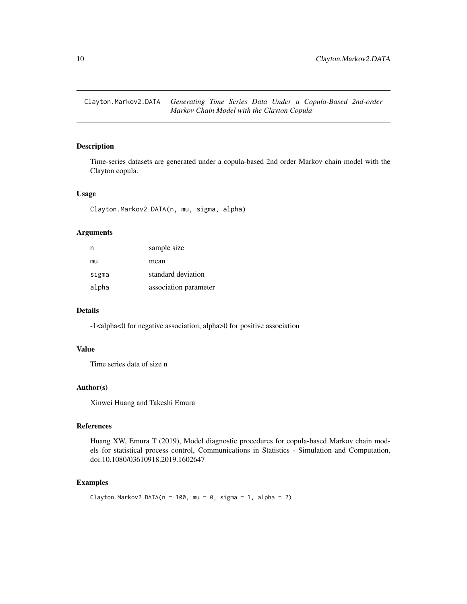<span id="page-9-0"></span>Clayton.Markov2.DATA *Generating Time Series Data Under a Copula-Based 2nd-order Markov Chain Model with the Clayton Copula*

# Description

Time-series datasets are generated under a copula-based 2nd order Markov chain model with the Clayton copula.

#### Usage

Clayton.Markov2.DATA(n, mu, sigma, alpha)

# Arguments

| n     | sample size           |
|-------|-----------------------|
| mu    | mean                  |
| sigma | standard deviation    |
| alpha | association parameter |

# Details

-1<alpha<0 for negative association; alpha>0 for positive association

# Value

Time series data of size n

#### Author(s)

Xinwei Huang and Takeshi Emura

# References

Huang XW, Emura T (2019), Model diagnostic procedures for copula-based Markov chain models for statistical process control, Communications in Statistics - Simulation and Computation, doi:10.1080/03610918.2019.1602647

# Examples

```
Clayton.Markov2.DATA(n = 100, mu = 0, sigma = 1, alpha = 2)
```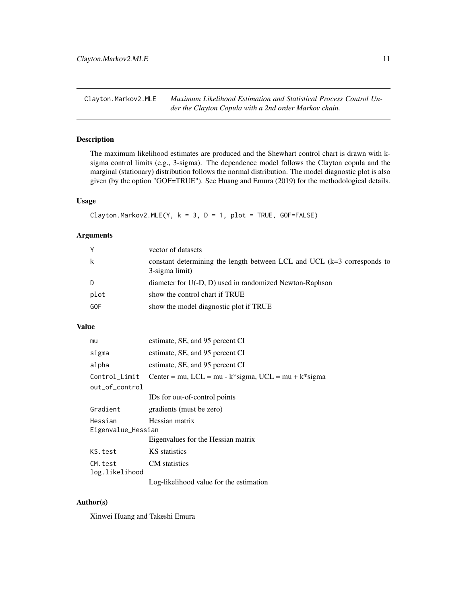<span id="page-10-0"></span>Clayton.Markov2.MLE *Maximum Likelihood Estimation and Statistical Process Control Under the Clayton Copula with a 2nd order Markov chain.*

# Description

The maximum likelihood estimates are produced and the Shewhart control chart is drawn with ksigma control limits (e.g., 3-sigma). The dependence model follows the Clayton copula and the marginal (stationary) distribution follows the normal distribution. The model diagnostic plot is also given (by the option "GOF=TRUE"). See Huang and Emura (2019) for the methodological details.

# Usage

Clayton.Markov2.MLE(Y,  $k = 3$ ,  $D = 1$ ,  $plot = TRUE$ ,  $GOF = FALSE$ )

# Arguments

| Y    | vector of datasets                                                                        |
|------|-------------------------------------------------------------------------------------------|
| k    | constant determining the length between LCL and UCL (k=3 corresponds to<br>3-sigma limit) |
| D    | diameter for U(-D, D) used in randomized Newton-Raphson                                   |
| plot | show the control chart if TRUE                                                            |
| GOF  | show the model diagnostic plot if TRUE                                                    |

# Value

| mu                            | estimate, SE, and 95 percent CI                           |
|-------------------------------|-----------------------------------------------------------|
| sigma                         | estimate, SE, and 95 percent CI                           |
| alpha                         | estimate, SE, and 95 percent CI                           |
| Control_Limit                 | Center = mu, LCL = mu - $k$ *sigma, UCL = mu + $k$ *sigma |
| out_of_control                |                                                           |
|                               | IDs for out-of-control points                             |
| Gradient                      | gradients (must be zero)                                  |
| Hessian<br>Eigenvalue_Hessian | Hessian matrix                                            |
|                               | Eigenvalues for the Hessian matrix                        |
| KS.test                       | KS statistics                                             |
| CM.test<br>log.likelihood     | <b>CM</b> statistics                                      |
|                               | Log-likelihood value for the estimation                   |

# Author(s)

Xinwei Huang and Takeshi Emura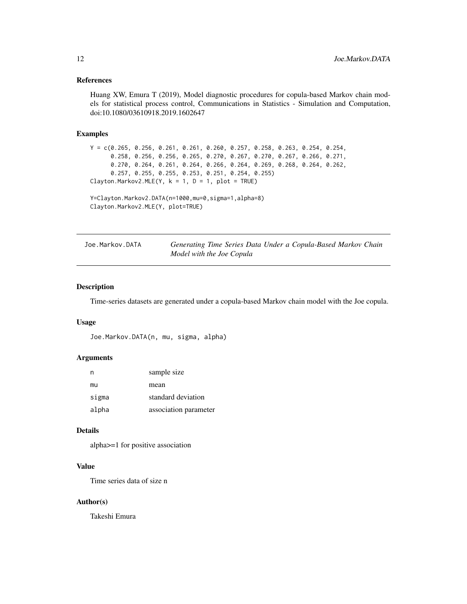#### <span id="page-11-0"></span>References

Huang XW, Emura T (2019), Model diagnostic procedures for copula-based Markov chain models for statistical process control, Communications in Statistics - Simulation and Computation, doi:10.1080/03610918.2019.1602647

# Examples

```
Y = c(0.265, 0.256, 0.261, 0.261, 0.260, 0.257, 0.258, 0.263, 0.254, 0.254,
      0.258, 0.256, 0.256, 0.265, 0.270, 0.267, 0.270, 0.267, 0.266, 0.271,
      0.270, 0.264, 0.261, 0.264, 0.266, 0.264, 0.269, 0.268, 0.264, 0.262,
      0.257, 0.255, 0.255, 0.253, 0.251, 0.254, 0.255)
Clayton.Markov2.MLE(Y, k = 1, D = 1, plot = TRUE)
```

```
Y=Clayton.Markov2.DATA(n=1000,mu=0,sigma=1,alpha=8)
Clayton.Markov2.MLE(Y, plot=TRUE)
```

| Joe.Markov.DATA | Generating Time Series Data Under a Copula-Based Markov Chain |  |
|-----------------|---------------------------------------------------------------|--|
|                 | Model with the Joe Copula                                     |  |

# Description

Time-series datasets are generated under a copula-based Markov chain model with the Joe copula.

### Usage

```
Joe.Markov.DATA(n, mu, sigma, alpha)
```
#### Arguments

| n     | sample size           |
|-------|-----------------------|
| mu    | mean                  |
| sigma | standard deviation    |
| alpha | association parameter |

#### Details

alpha>=1 for positive association

# Value

Time series data of size n

## Author(s)

Takeshi Emura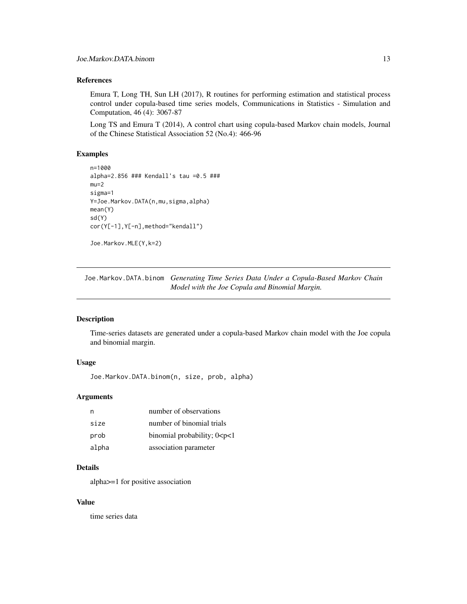# <span id="page-12-0"></span>References

Emura T, Long TH, Sun LH (2017), R routines for performing estimation and statistical process control under copula-based time series models, Communications in Statistics - Simulation and Computation, 46 (4): 3067-87

Long TS and Emura T (2014), A control chart using copula-based Markov chain models, Journal of the Chinese Statistical Association 52 (No.4): 466-96

#### Examples

```
n=1000
alpha=2.856 ### Kendall's tau =0.5 ###
mu=2sigma=1
Y=Joe.Markov.DATA(n,mu,sigma,alpha)
mean(Y)
sd(Y)
cor(Y[-1],Y[-n],method="kendall")
```

```
Joe.Markov.MLE(Y,k=2)
```
Joe.Markov.DATA.binom *Generating Time Series Data Under a Copula-Based Markov Chain Model with the Joe Copula and Binomial Margin.*

# Description

Time-series datasets are generated under a copula-based Markov chain model with the Joe copula and binomial margin.

# Usage

```
Joe.Markov.DATA.binom(n, size, prob, alpha)
```
#### Arguments

| n     | number of observations            |
|-------|-----------------------------------|
| size  | number of binomial trials         |
| prob  | binomial probability; $0 < p < 1$ |
| alpha | association parameter             |

# Details

alpha>=1 for positive association

# Value

time series data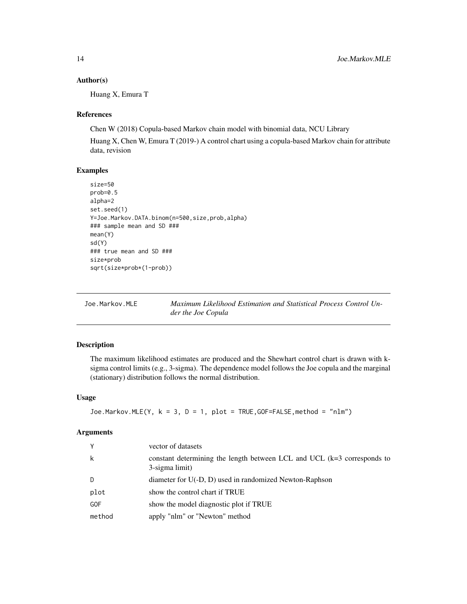#### <span id="page-13-0"></span>Author(s)

Huang X, Emura T

## References

Chen W (2018) Copula-based Markov chain model with binomial data, NCU Library

Huang X, Chen W, Emura T (2019-) A control chart using a copula-based Markov chain for attribute data, revision

#### Examples

```
size=50
prob=0.5
alpha=2
set.seed(1)
Y=Joe.Markov.DATA.binom(n=500,size,prob,alpha)
### sample mean and SD ###
mean(Y)
sd(Y)
### true mean and SD ###
size*prob
sqrt(size*prob*(1-prob))
```

| Joe.Markov.MLE | Maximum Likelihood Estimation and Statistical Process Control Un- |
|----------------|-------------------------------------------------------------------|
|                | der the Joe Copula                                                |

# Description

The maximum likelihood estimates are produced and the Shewhart control chart is drawn with ksigma control limits (e.g., 3-sigma). The dependence model follows the Joe copula and the marginal (stationary) distribution follows the normal distribution.

#### Usage

```
Joe.Markov.MLE(Y, k = 3, D = 1, plot = TRUE, GOF = FALSE, method = "nlm")
```
#### Arguments

| Υ      | vector of datasets                                                                        |
|--------|-------------------------------------------------------------------------------------------|
| k      | constant determining the length between LCL and UCL (k=3 corresponds to<br>3-sigma limit) |
| D      | diameter for U(-D, D) used in randomized Newton-Raphson                                   |
| plot   | show the control chart if TRUE                                                            |
| GOF    | show the model diagnostic plot if TRUE                                                    |
| method | apply "nlm" or "Newton" method                                                            |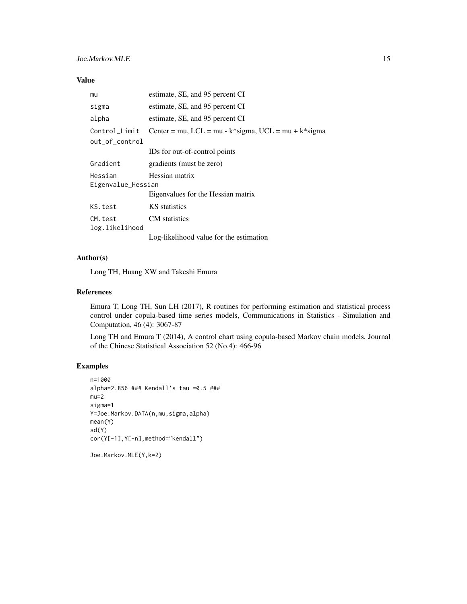# Joe.Markov.MLE 15

# Value

| mu                            | estimate, SE, and 95 percent CI                           |
|-------------------------------|-----------------------------------------------------------|
| sigma                         | estimate, SE, and 95 percent CI                           |
| alpha                         | estimate, SE, and 95 percent CI                           |
| Control_Limit                 | Center = mu, LCL = mu - $k$ *sigma, UCL = mu + $k$ *sigma |
| out_of_control                |                                                           |
|                               | IDs for out-of-control points                             |
| Gradient                      | gradients (must be zero)                                  |
| Hessian<br>Eigenvalue_Hessian | Hessian matrix                                            |
|                               | Eigenvalues for the Hessian matrix                        |
| KS.test                       | KS statistics                                             |
| CM.test<br>log.likelihood     | <b>CM</b> statistics                                      |
|                               | Log-likelihood value for the estimation                   |

#### Author(s)

Long TH, Huang XW and Takeshi Emura

#### References

Emura T, Long TH, Sun LH (2017), R routines for performing estimation and statistical process control under copula-based time series models, Communications in Statistics - Simulation and Computation, 46 (4): 3067-87

Long TH and Emura T (2014), A control chart using copula-based Markov chain models, Journal of the Chinese Statistical Association 52 (No.4): 466-96

# Examples

```
n=1000
alpha=2.856 ### Kendall's tau =0.5 ###
mu=2sigma=1
Y=Joe.Markov.DATA(n,mu,sigma,alpha)
mean(Y)
sd(Y)
cor(Y[-1],Y[-n],method="kendall")
```
Joe.Markov.MLE(Y,k=2)